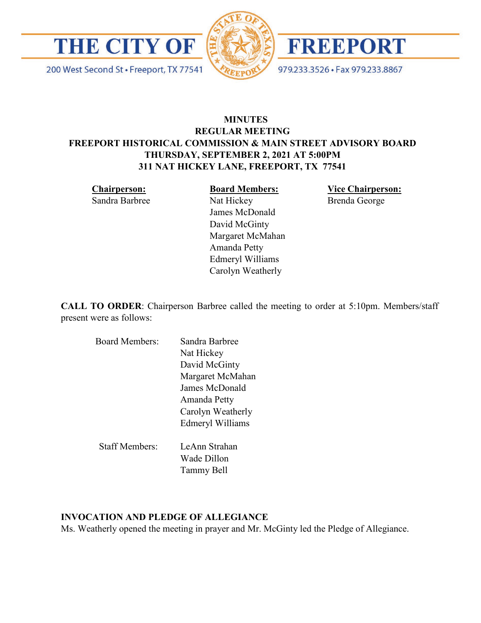

200 West Second St · Freeport, TX 77541





979.233.3526 · Fax 979.233.8867

# **MINUTES REGULAR MEETING FREEPORT HISTORICAL COMMISSION & MAIN STREET ADVISORY BOARD THURSDAY, SEPTEMBER 2, 2021 AT 5:00PM 311 NAT HICKEY LANE, FREEPORT, TX 77541**

**Chairperson:**  Sandra Barbree **Board Members:**

**Vice Chairperson:**  Brenda George

Nat Hickey James McDonald David McGinty Margaret McMahan Amanda Petty Edmeryl Williams Carolyn Weatherly

**CALL TO ORDER**: Chairperson Barbree called the meeting to order at 5:10pm. Members/staff present were as follows:

| <b>Board Members:</b> | Sandra Barbree          |
|-----------------------|-------------------------|
|                       | Nat Hickey              |
|                       | David McGinty           |
|                       | Margaret McMahan        |
|                       | James McDonald          |
|                       | Amanda Petty            |
|                       | Carolyn Weatherly       |
|                       | <b>Edmeryl Williams</b> |
| <b>Staff Members:</b> | LeAnn Strahan           |
|                       | Wade Dillon             |
|                       |                         |
|                       | Tammy Bell              |

#### **INVOCATION AND PLEDGE OF ALLEGIANCE**

Ms. Weatherly opened the meeting in prayer and Mr. McGinty led the Pledge of Allegiance.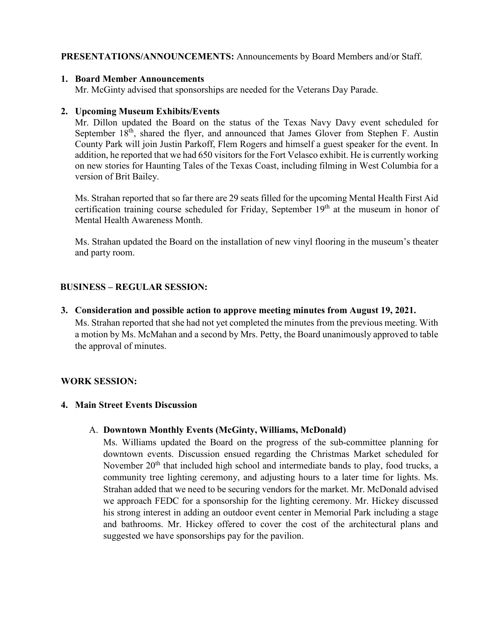## **PRESENTATIONS/ANNOUNCEMENTS:** Announcements by Board Members and/or Staff.

#### **1. Board Member Announcements**

Mr. McGinty advised that sponsorships are needed for the Veterans Day Parade.

## **2. Upcoming Museum Exhibits/Events**

Mr. Dillon updated the Board on the status of the Texas Navy Davy event scheduled for September 18<sup>th</sup>, shared the flyer, and announced that James Glover from Stephen F. Austin County Park will join Justin Parkoff, Flem Rogers and himself a guest speaker for the event. In addition, he reported that we had 650 visitors for the Fort Velasco exhibit. He is currently working on new stories for Haunting Tales of the Texas Coast, including filming in West Columbia for a version of Brit Bailey.

Ms. Strahan reported that so far there are 29 seats filled for the upcoming Mental Health First Aid certification training course scheduled for Friday, September  $19<sup>th</sup>$  at the museum in honor of Mental Health Awareness Month.

Ms. Strahan updated the Board on the installation of new vinyl flooring in the museum's theater and party room.

## **BUSINESS – REGULAR SESSION:**

**3. Consideration and possible action to approve meeting minutes from August 19, 2021.**  Ms. Strahan reported that she had not yet completed the minutes from the previous meeting. With a motion by Ms. McMahan and a second by Mrs. Petty, the Board unanimously approved to table the approval of minutes.

#### **WORK SESSION:**

#### **4. Main Street Events Discussion**

#### A. **Downtown Monthly Events (McGinty, Williams, McDonald)**

Ms. Williams updated the Board on the progress of the sub-committee planning for downtown events. Discussion ensued regarding the Christmas Market scheduled for November 20<sup>th</sup> that included high school and intermediate bands to play, food trucks, a community tree lighting ceremony, and adjusting hours to a later time for lights. Ms. Strahan added that we need to be securing vendors for the market. Mr. McDonald advised we approach FEDC for a sponsorship for the lighting ceremony. Mr. Hickey discussed his strong interest in adding an outdoor event center in Memorial Park including a stage and bathrooms. Mr. Hickey offered to cover the cost of the architectural plans and suggested we have sponsorships pay for the pavilion.